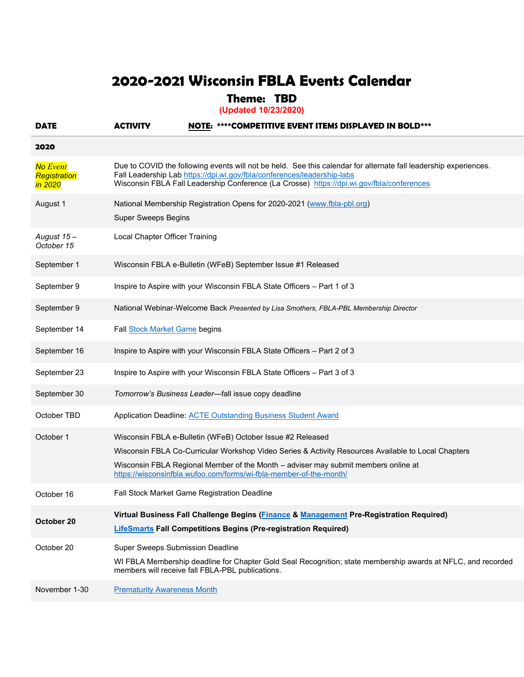## **2020-2021 Wisconsin FBLA Events Calendar**

## **Theme: TBD**

**(Updated 10/23/2020)**

| <b>DATE</b>                                | <b>ACTIVITY</b>                                                                             | NOTE: ****COMPETITIVE EVENT ITEMS DISPLAYED IN BOLD***                                                                                                                                                                                                                                                                        |
|--------------------------------------------|---------------------------------------------------------------------------------------------|-------------------------------------------------------------------------------------------------------------------------------------------------------------------------------------------------------------------------------------------------------------------------------------------------------------------------------|
| 2020                                       |                                                                                             |                                                                                                                                                                                                                                                                                                                               |
| <b>No Event</b><br>Registration<br>in 2020 |                                                                                             | Due to COVID the following events will not be held. See this calendar for alternate fall leadership experiences.<br>Fall Leadership Lab https://dpi.wi.gov/fbla/conferences/leadership-labs<br>Wisconsin FBLA Fall Leadership Conference (La Crosse) https://dpi.wi.gov/fbla/conferences                                      |
| August 1                                   | <b>Super Sweeps Begins</b>                                                                  | National Membership Registration Opens for 2020-2021 (www.fbla-pbl.org)                                                                                                                                                                                                                                                       |
| August 15-<br>October 15                   | Local Chapter Officer Training                                                              |                                                                                                                                                                                                                                                                                                                               |
| September 1                                |                                                                                             | Wisconsin FBLA e-Bulletin (WFeB) September Issue #1 Released                                                                                                                                                                                                                                                                  |
| September 9                                |                                                                                             | Inspire to Aspire with your Wisconsin FBLA State Officers - Part 1 of 3                                                                                                                                                                                                                                                       |
| September 9                                |                                                                                             | National Webinar-Welcome Back Presented by Lisa Smothers, FBLA-PBL Membership Director                                                                                                                                                                                                                                        |
| September 14                               | Fall Stock Market Game begins                                                               |                                                                                                                                                                                                                                                                                                                               |
| September 16                               |                                                                                             | Inspire to Aspire with your Wisconsin FBLA State Officers - Part 2 of 3                                                                                                                                                                                                                                                       |
| September 23                               |                                                                                             | Inspire to Aspire with your Wisconsin FBLA State Officers - Part 3 of 3                                                                                                                                                                                                                                                       |
| September 30                               |                                                                                             | Tomorrow's Business Leader-fall issue copy deadline                                                                                                                                                                                                                                                                           |
| October TBD                                |                                                                                             | Application Deadline: <b>ACTE Outstanding Business Student Award</b>                                                                                                                                                                                                                                                          |
| October 1                                  |                                                                                             | Wisconsin FBLA e-Bulletin (WFeB) October Issue #2 Released<br>Wisconsin FBLA Co-Curricular Workshop Video Series & Activity Resources Available to Local Chapters<br>Wisconsin FBLA Regional Member of the Month - adviser may submit members online at<br>https://wisconsinfbla.wufoo.com/forms/wi-fbla-member-of-the-month/ |
| October 16                                 | Fall Stock Market Game Registration Deadline                                                |                                                                                                                                                                                                                                                                                                                               |
| October 20                                 |                                                                                             | Virtual Business Fall Challenge Begins (Finance & Management Pre-Registration Required)<br><b>LifeSmarts Fall Competitions Begins (Pre-registration Required)</b>                                                                                                                                                             |
| October 20                                 | <b>Super Sweeps Submission Deadline</b><br>members will receive fall FBLA-PBL publications. | WI FBLA Membership deadline for Chapter Gold Seal Recognition; state membership awards at NFLC, and recorded                                                                                                                                                                                                                  |
| November 1-30                              | <b>Prematurity Awareness Month</b>                                                          |                                                                                                                                                                                                                                                                                                                               |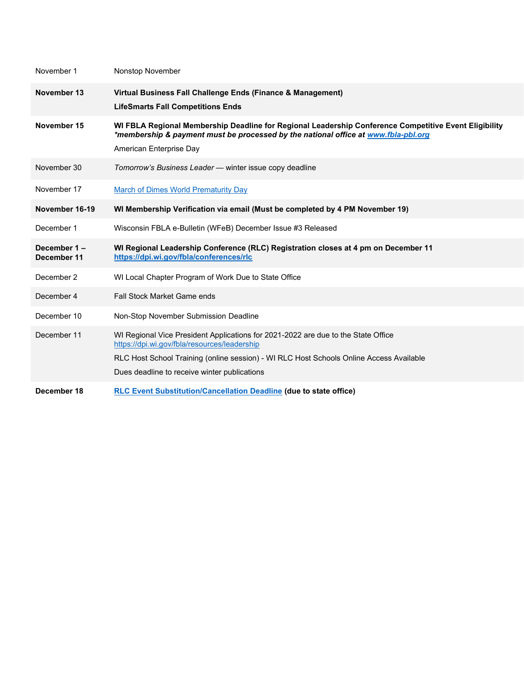| November 1                 | Nonstop November                                                                                                                                                                                                                                                             |
|----------------------------|------------------------------------------------------------------------------------------------------------------------------------------------------------------------------------------------------------------------------------------------------------------------------|
| November 13                | Virtual Business Fall Challenge Ends (Finance & Management)<br><b>LifeSmarts Fall Competitions Ends</b>                                                                                                                                                                      |
| November 15                | WI FBLA Regional Membership Deadline for Regional Leadership Conference Competitive Event Eligibility<br>*membership & payment must be processed by the national office at www.fbla-pbl.org<br>American Enterprise Day                                                       |
| November 30                | Tomorrow's Business Leader - winter issue copy deadline                                                                                                                                                                                                                      |
| November 17                | <b>March of Dimes World Prematurity Day</b>                                                                                                                                                                                                                                  |
| November 16-19             | WI Membership Verification via email (Must be completed by 4 PM November 19)                                                                                                                                                                                                 |
| December 1                 | Wisconsin FBLA e-Bulletin (WFeB) December Issue #3 Released                                                                                                                                                                                                                  |
| December 1-<br>December 11 | WI Regional Leadership Conference (RLC) Registration closes at 4 pm on December 11<br>https://dpi.wi.gov/fbla/conferences/rlc                                                                                                                                                |
| December 2                 | WI Local Chapter Program of Work Due to State Office                                                                                                                                                                                                                         |
| December 4                 | <b>Fall Stock Market Game ends</b>                                                                                                                                                                                                                                           |
| December 10                | Non-Stop November Submission Deadline                                                                                                                                                                                                                                        |
| December 11                | WI Regional Vice President Applications for 2021-2022 are due to the State Office<br>https://dpi.wi.gov/fbla/resources/leadership<br>RLC Host School Training (online session) - WI RLC Host Schools Online Access Available<br>Dues deadline to receive winter publications |
| December 18                | <b>RLC Event Substitution/Cancellation Deadline (due to state office)</b>                                                                                                                                                                                                    |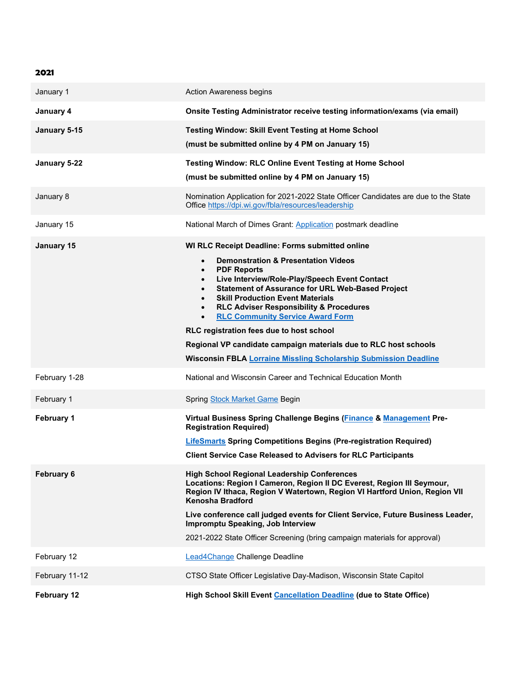| 2021              |                                                                                                                                                                                                                                                                                                                                                                                                                                                                                                                                                                                                                                             |
|-------------------|---------------------------------------------------------------------------------------------------------------------------------------------------------------------------------------------------------------------------------------------------------------------------------------------------------------------------------------------------------------------------------------------------------------------------------------------------------------------------------------------------------------------------------------------------------------------------------------------------------------------------------------------|
| January 1         | <b>Action Awareness begins</b>                                                                                                                                                                                                                                                                                                                                                                                                                                                                                                                                                                                                              |
| January 4         | Onsite Testing Administrator receive testing information/exams (via email)                                                                                                                                                                                                                                                                                                                                                                                                                                                                                                                                                                  |
| January 5-15      | Testing Window: Skill Event Testing at Home School<br>(must be submitted online by 4 PM on January 15)                                                                                                                                                                                                                                                                                                                                                                                                                                                                                                                                      |
| January 5-22      | Testing Window: RLC Online Event Testing at Home School<br>(must be submitted online by 4 PM on January 15)                                                                                                                                                                                                                                                                                                                                                                                                                                                                                                                                 |
| January 8         | Nomination Application for 2021-2022 State Officer Candidates are due to the State<br>Office https://dpi.wi.gov/fbla/resources/leadership                                                                                                                                                                                                                                                                                                                                                                                                                                                                                                   |
| January 15        | National March of Dimes Grant: Application postmark deadline                                                                                                                                                                                                                                                                                                                                                                                                                                                                                                                                                                                |
| January 15        | WI RLC Receipt Deadline: Forms submitted online<br><b>Demonstration &amp; Presentation Videos</b><br>$\bullet$<br><b>PDF Reports</b><br>$\bullet$<br>Live Interview/Role-Play/Speech Event Contact<br>$\bullet$<br><b>Statement of Assurance for URL Web-Based Project</b><br><b>Skill Production Event Materials</b><br><b>RLC Adviser Responsibility &amp; Procedures</b><br>$\bullet$<br><b>RLC Community Service Award Form</b><br>$\bullet$<br>RLC registration fees due to host school<br>Regional VP candidate campaign materials due to RLC host schools<br><b>Wisconsin FBLA Lorraine Missling Scholarship Submission Deadline</b> |
| February 1-28     | National and Wisconsin Career and Technical Education Month                                                                                                                                                                                                                                                                                                                                                                                                                                                                                                                                                                                 |
| February 1        | Spring Stock Market Game Begin                                                                                                                                                                                                                                                                                                                                                                                                                                                                                                                                                                                                              |
| <b>February 1</b> | Virtual Business Spring Challenge Begins (Finance & Management Pre-<br><b>Registration Required)</b><br><b>LifeSmarts Spring Competitions Begins (Pre-registration Required)</b><br><b>Client Service Case Released to Advisers for RLC Participants</b>                                                                                                                                                                                                                                                                                                                                                                                    |
| <b>February 6</b> | <b>High School Regional Leadership Conferences</b><br>Locations: Region I Cameron, Region II DC Everest, Region III Seymour,<br>Region IV Ithaca, Region V Watertown, Region VI Hartford Union, Region VII<br>Kenosha Bradford<br>Live conference call judged events for Client Service, Future Business Leader,<br>Impromptu Speaking, Job Interview<br>2021-2022 State Officer Screening (bring campaign materials for approval)                                                                                                                                                                                                          |
| February 12       | Lead4Change Challenge Deadline                                                                                                                                                                                                                                                                                                                                                                                                                                                                                                                                                                                                              |
| February 11-12    | CTSO State Officer Legislative Day-Madison, Wisconsin State Capitol                                                                                                                                                                                                                                                                                                                                                                                                                                                                                                                                                                         |
| February 12       | High School Skill Event Cancellation Deadline (due to State Office)                                                                                                                                                                                                                                                                                                                                                                                                                                                                                                                                                                         |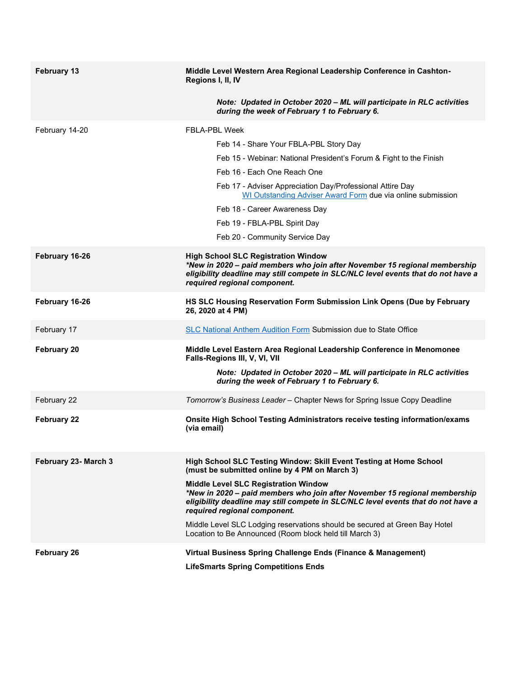| February 13          | Middle Level Western Area Regional Leadership Conference in Cashton-<br>Regions I, II, IV                                                                                                                                                      |  |  |
|----------------------|------------------------------------------------------------------------------------------------------------------------------------------------------------------------------------------------------------------------------------------------|--|--|
|                      | Note: Updated in October 2020 - ML will participate in RLC activities<br>during the week of February 1 to February 6.                                                                                                                          |  |  |
| February 14-20       | <b>FBLA-PBL Week</b>                                                                                                                                                                                                                           |  |  |
|                      | Feb 14 - Share Your FBLA-PBL Story Day                                                                                                                                                                                                         |  |  |
|                      | Feb 15 - Webinar: National President's Forum & Fight to the Finish                                                                                                                                                                             |  |  |
|                      | Feb 16 - Each One Reach One                                                                                                                                                                                                                    |  |  |
|                      | Feb 17 - Adviser Appreciation Day/Professional Attire Day<br>WI Outstanding Adviser Award Form due via online submission                                                                                                                       |  |  |
|                      | Feb 18 - Career Awareness Day                                                                                                                                                                                                                  |  |  |
|                      | Feb 19 - FBLA-PBL Spirit Day                                                                                                                                                                                                                   |  |  |
|                      | Feb 20 - Community Service Day                                                                                                                                                                                                                 |  |  |
| February 16-26       | <b>High School SLC Registration Window</b><br>*New in 2020 - paid members who join after November 15 regional membership<br>eligibility deadline may still compete in SLC/NLC level events that do not have a<br>required regional component.  |  |  |
| February 16-26       | HS SLC Housing Reservation Form Submission Link Opens (Due by February<br>26, 2020 at 4 PM)                                                                                                                                                    |  |  |
| February 17          | SLC National Anthem Audition Form Submission due to State Office                                                                                                                                                                               |  |  |
| February 20          | Middle Level Eastern Area Regional Leadership Conference in Menomonee<br>Falls-Regions III, V, VI, VII                                                                                                                                         |  |  |
|                      | Note: Updated in October 2020 - ML will participate in RLC activities<br>during the week of February 1 to February 6.                                                                                                                          |  |  |
| February 22          | Tomorrow's Business Leader - Chapter News for Spring Issue Copy Deadline                                                                                                                                                                       |  |  |
| <b>February 22</b>   | Onsite High School Testing Administrators receive testing information/exams<br>(via email)                                                                                                                                                     |  |  |
| February 23- March 3 | High School SLC Testing Window: Skill Event Testing at Home School<br>(must be submitted online by 4 PM on March 3)                                                                                                                            |  |  |
|                      | <b>Middle Level SLC Registration Window</b><br>*New in 2020 - paid members who join after November 15 regional membership<br>eligibility deadline may still compete in SLC/NLC level events that do not have a<br>required regional component. |  |  |
|                      | Middle Level SLC Lodging reservations should be secured at Green Bay Hotel<br>Location to Be Announced (Room block held till March 3)                                                                                                          |  |  |
| <b>February 26</b>   | Virtual Business Spring Challenge Ends (Finance & Management)                                                                                                                                                                                  |  |  |
|                      | <b>LifeSmarts Spring Competitions Ends</b>                                                                                                                                                                                                     |  |  |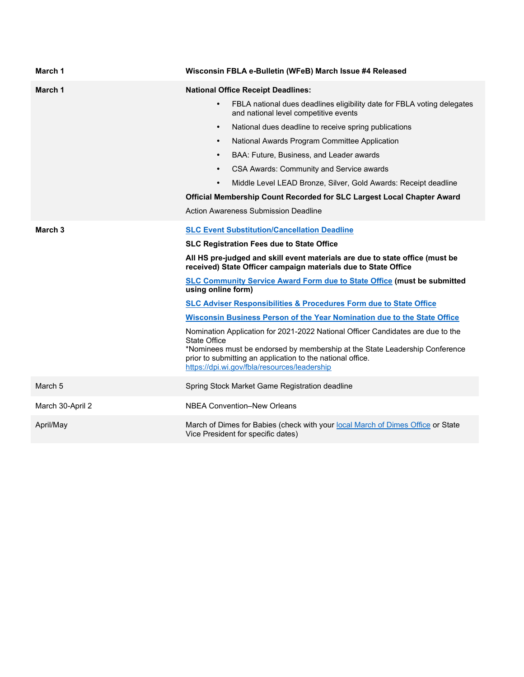| March 1            | Wisconsin FBLA e-Bulletin (WFeB) March Issue #4 Released                                                                                                                                                                                                                                                                                                                                                                                                                                                                                                                                                                                                                                                                   |  |  |
|--------------------|----------------------------------------------------------------------------------------------------------------------------------------------------------------------------------------------------------------------------------------------------------------------------------------------------------------------------------------------------------------------------------------------------------------------------------------------------------------------------------------------------------------------------------------------------------------------------------------------------------------------------------------------------------------------------------------------------------------------------|--|--|
| March 1            | <b>National Office Receipt Deadlines:</b><br>FBLA national dues deadlines eligibility date for FBLA voting delegates<br>$\bullet$<br>and national level competitive events<br>National dues deadline to receive spring publications<br>$\bullet$<br>National Awards Program Committee Application<br>$\bullet$<br>BAA: Future, Business, and Leader awards<br>$\bullet$<br>CSA Awards: Community and Service awards<br>$\bullet$<br>Middle Level LEAD Bronze, Silver, Gold Awards: Receipt deadline<br>$\bullet$<br>Official Membership Count Recorded for SLC Largest Local Chapter Award<br><b>Action Awareness Submission Deadline</b>                                                                                  |  |  |
| March <sub>3</sub> | <b>SLC Event Substitution/Cancellation Deadline</b><br><b>SLC Registration Fees due to State Office</b>                                                                                                                                                                                                                                                                                                                                                                                                                                                                                                                                                                                                                    |  |  |
|                    | All HS pre-judged and skill event materials are due to state office (must be<br>received) State Officer campaign materials due to State Office<br><b>SLC Community Service Award Form due to State Office (must be submitted</b><br>using online form)<br><b>SLC Adviser Responsibilities &amp; Procedures Form due to State Office</b><br>Wisconsin Business Person of the Year Nomination due to the State Office<br>Nomination Application for 2021-2022 National Officer Candidates are due to the<br><b>State Office</b><br>*Nominees must be endorsed by membership at the State Leadership Conference<br>prior to submitting an application to the national office.<br>https://dpi.wi.gov/fbla/resources/leadership |  |  |
| March 5            | Spring Stock Market Game Registration deadline                                                                                                                                                                                                                                                                                                                                                                                                                                                                                                                                                                                                                                                                             |  |  |
| March 30-April 2   | <b>NBEA Convention-New Orleans</b>                                                                                                                                                                                                                                                                                                                                                                                                                                                                                                                                                                                                                                                                                         |  |  |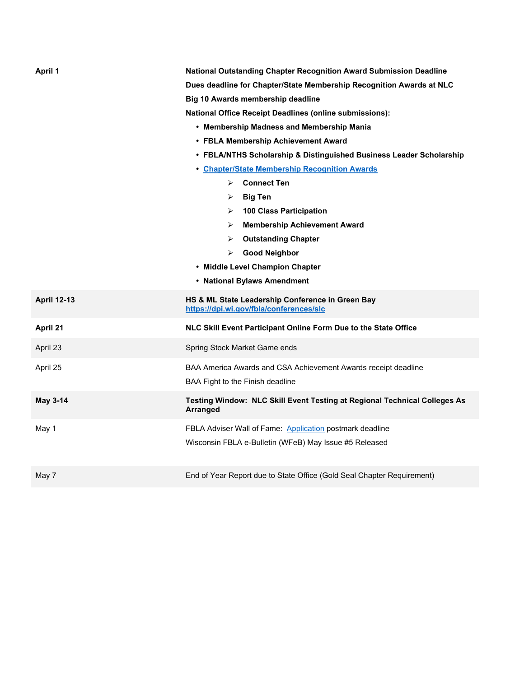| April 1            | National Outstanding Chapter Recognition Award Submission Deadline<br>Dues deadline for Chapter/State Membership Recognition Awards at NLC<br>Big 10 Awards membership deadline<br><b>National Office Receipt Deadlines (online submissions):</b><br>• Membership Madness and Membership Mania<br>• FBLA Membership Achievement Award<br>• FBLA/NTHS Scholarship & Distinguished Business Leader Scholarship<br>• Chapter/State Membership Recognition Awards<br><b>Connect Ten</b><br>$\triangleright$<br><b>Big Ten</b><br>➤<br><b>100 Class Participation</b><br>➤<br><b>Membership Achievement Award</b><br>➤<br><b>Outstanding Chapter</b><br>⋗<br><b>Good Neighbor</b><br>⋗<br>• Middle Level Champion Chapter<br>• National Bylaws Amendment |
|--------------------|-----------------------------------------------------------------------------------------------------------------------------------------------------------------------------------------------------------------------------------------------------------------------------------------------------------------------------------------------------------------------------------------------------------------------------------------------------------------------------------------------------------------------------------------------------------------------------------------------------------------------------------------------------------------------------------------------------------------------------------------------------|
| <b>April 12-13</b> | HS & ML State Leadership Conference in Green Bay<br>https://dpi.wi.gov/fbla/conferences/slc                                                                                                                                                                                                                                                                                                                                                                                                                                                                                                                                                                                                                                                         |
| April 21           | NLC Skill Event Participant Online Form Due to the State Office                                                                                                                                                                                                                                                                                                                                                                                                                                                                                                                                                                                                                                                                                     |
| April 23           | Spring Stock Market Game ends                                                                                                                                                                                                                                                                                                                                                                                                                                                                                                                                                                                                                                                                                                                       |
| April 25           | BAA America Awards and CSA Achievement Awards receipt deadline<br>BAA Fight to the Finish deadline                                                                                                                                                                                                                                                                                                                                                                                                                                                                                                                                                                                                                                                  |
| <b>May 3-14</b>    | Testing Window: NLC Skill Event Testing at Regional Technical Colleges As<br><b>Arranged</b>                                                                                                                                                                                                                                                                                                                                                                                                                                                                                                                                                                                                                                                        |
| May 1              | FBLA Adviser Wall of Fame: Application postmark deadline<br>Wisconsin FBLA e-Bulletin (WFeB) May Issue #5 Released                                                                                                                                                                                                                                                                                                                                                                                                                                                                                                                                                                                                                                  |
| May 7              | End of Year Report due to State Office (Gold Seal Chapter Requirement)                                                                                                                                                                                                                                                                                                                                                                                                                                                                                                                                                                                                                                                                              |